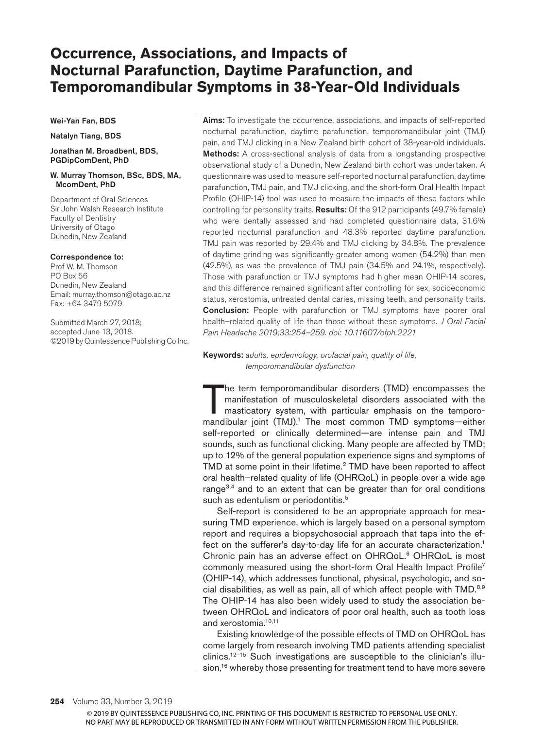# **Occurrence, Associations, and Impacts of Nocturnal Parafunction, Daytime Parafunction, and Temporomandibular Symptoms in 38-Year-Old Individuals**

#### Wei-Yan Fan, BDS

#### Natalyn Tiang, BDS

### Jonathan M. Broadbent, BDS, PGDipComDent, PhD

#### W. Murray Thomson, BSc, BDS, MA, McomDent, PhD

Department of Oral Sciences Sir John Walsh Research Institute Faculty of Dentistry University of Otago Dunedin, New Zealand

### Correspondence to:

Prof W. M. Thomson PO Box 56 Dunedin, New Zealand Email: [murray.thomson@otago.ac.nz](mailto:murray.thomson@otago.ac.nz) Fax: +64 3479 5079

Submitted March 27, 2018; accepted June 13, 2018. ©2019 by Quintessence Publishing Co Inc. Aims: To investigate the occurrence, associations, and impacts of self-reported nocturnal parafunction, daytime parafunction, temporomandibular joint (TMJ) pain, and TMJ clicking in a New Zealand birth cohort of 38-year-old individuals. Methods: A cross-sectional analysis of data from a longstanding prospective observational study of a Dunedin, New Zealand birth cohort was undertaken. A questionnaire was used to measure self-reported nocturnal parafunction, daytime parafunction, TMJ pain, and TMJ clicking, and the short-form Oral Health Impact Profile (OHIP-14) tool was used to measure the impacts of these factors while controlling for personality traits. Results: Of the 912 participants (49.7% female) who were dentally assessed and had completed questionnaire data, 31.6% reported nocturnal parafunction and 48.3% reported daytime parafunction. TMJ pain was reported by 29.4% and TMJ clicking by 34.8%. The prevalence of daytime grinding was significantly greater among women (54.2%) than men (42.5%), as was the prevalence of TMJ pain (34.5% and 24.1%, respectively). Those with parafunction or TMJ symptoms had higher mean OHIP-14 scores, and this difference remained significant after controlling for sex, socioeconomic status, xerostomia, untreated dental caries, missing teeth, and personality traits. **Conclusion:** People with parafunction or TMJ symptoms have poorer oral health–related quality of life than those without these symptoms. *J Oral Facial Pain Headache 2019;33:254–259. doi: 10.11607/ofph.2221*

Keywords: *adults, epidemiology, orofacial pain, quality of life, temporomandibular dysfunction* 

The term temporomandibular disorders (TMD) encompasses the manifestation of musculoskeletal disorders associated with the masticatory system, with particular emphasis on the temporomandibular joint (TMJ).<sup>1</sup> The most commo he term temporomandibular disorders (TMD) encompasses the manifestation of musculoskeletal disorders associated with the masticatory system, with particular emphasis on the temporoself-reported or clinically determined—are intense pain and TMJ sounds, such as functional clicking. Many people are affected by TMD; up to 12% of the general population experience signs and symptoms of TMD at some point in their lifetime.<sup>2</sup> TMD have been reported to affect oral health–related quality of life (OHRQoL) in people over a wide age range<sup>3,4</sup> and to an extent that can be greater than for oral conditions such as edentulism or periodontitis.<sup>5</sup>

Self-report is considered to be an appropriate approach for measuring TMD experience, which is largely based on a personal symptom report and requires a biopsychosocial approach that taps into the effect on the sufferer's day-to-day life for an accurate characterization.<sup>1</sup> Chronic pain has an adverse effect on OHRQoL.<sup>6</sup> OHRQoL is most commonly measured using the short-form Oral Health Impact Profile<sup>7</sup> (OHIP-14), which addresses functional, physical, psychologic, and social disabilities, as well as pain, all of which affect people with  $\text{TMD}.8,9$ The OHIP-14 has also been widely used to study the association between OHRQoL and indicators of poor oral health, such as tooth loss and xerostomia.10,11

Existing knowledge of the possible effects of TMD on OHRQoL has come largely from research involving TMD patients attending specialist clinics.12–15 Such investigations are susceptible to the clinician's illusion,<sup>16</sup> whereby those presenting for treatment tend to have more severe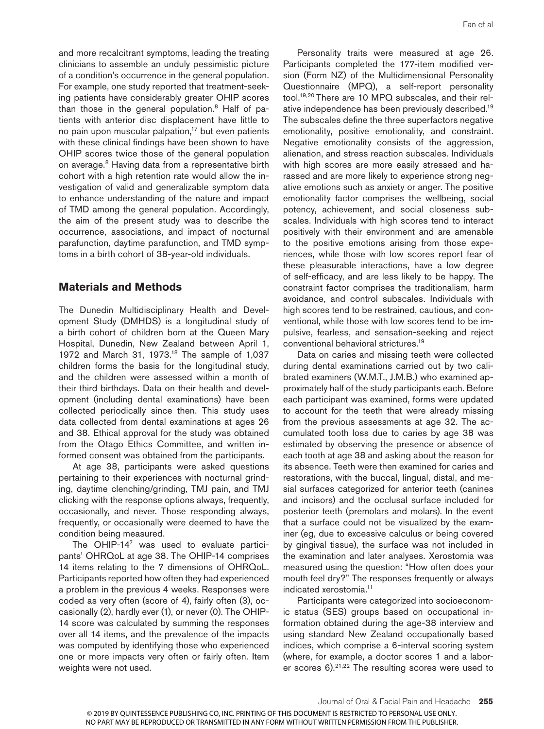and more recalcitrant symptoms, leading the treating clinicians to assemble an unduly pessimistic picture of a condition's occurrence in the general population. For example, one study reported that treatment-seeking patients have considerably greater OHIP scores than those in the general population.8 Half of patients with anterior disc displacement have little to no pain upon muscular palpation,<sup>17</sup> but even patients with these clinical findings have been shown to have OHIP scores twice those of the general population on average.8 Having data from a representative birth cohort with a high retention rate would allow the investigation of valid and generalizable symptom data to enhance understanding of the nature and impact of TMD among the general population. Accordingly, the aim of the present study was to describe the occurrence, associations, and impact of nocturnal parafunction, daytime parafunction, and TMD symptoms in a birth cohort of 38-year-old individuals.

## **Materials and Methods**

The Dunedin Multidisciplinary Health and Development Study (DMHDS) is a longitudinal study of a birth cohort of children born at the Queen Mary Hospital, Dunedin, New Zealand between April 1, 1972 and March 31, 1973.18 The sample of 1,037 children forms the basis for the longitudinal study, and the children were assessed within a month of their third birthdays. Data on their health and development (including dental examinations) have been collected periodically since then. This study uses data collected from dental examinations at ages 26 and 38. Ethical approval for the study was obtained from the Otago Ethics Committee, and written informed consent was obtained from the participants.

At age 38, participants were asked questions pertaining to their experiences with nocturnal grinding, daytime clenching/grinding, TMJ pain, and TMJ clicking with the response options always, frequently, occasionally, and never. Those responding always, frequently, or occasionally were deemed to have the condition being measured.

The OHIP-14<sup>7</sup> was used to evaluate participants' OHRQoL at age 38. The OHIP-14 comprises 14 items relating to the 7 dimensions of OHRQoL. Participants reported how often they had experienced a problem in the previous 4 weeks. Responses were coded as very often (score of 4), fairly often (3), occasionally (2), hardly ever (1), or never (0). The OHIP-14 score was calculated by summing the responses over all 14 items, and the prevalence of the impacts was computed by identifying those who experienced one or more impacts very often or fairly often. Item weights were not used.

Personality traits were measured at age 26. Participants completed the 177-item modified version (Form NZ) of the Multidimensional Personality Questionnaire (MPQ), a self-report personality tool.19,20 There are 10 MPQ subscales, and their relative independence has been previously described.19 The subscales define the three superfactors negative emotionality, positive emotionality, and constraint. Negative emotionality consists of the aggression, alienation, and stress reaction subscales. Individuals with high scores are more easily stressed and harassed and are more likely to experience strong negative emotions such as anxiety or anger. The positive emotionality factor comprises the wellbeing, social potency, achievement, and social closeness subscales. Individuals with high scores tend to interact positively with their environment and are amenable to the positive emotions arising from those experiences, while those with low scores report fear of these pleasurable interactions, have a low degree of self-efficacy, and are less likely to be happy. The constraint factor comprises the traditionalism, harm avoidance, and control subscales. Individuals with high scores tend to be restrained, cautious, and conventional, while those with low scores tend to be impulsive, fearless, and sensation-seeking and reject conventional behavioral strictures.19

Data on caries and missing teeth were collected during dental examinations carried out by two calibrated examiners (W.M.T., J.M.B.) who examined approximately half of the study participants each. Before each participant was examined, forms were updated to account for the teeth that were already missing from the previous assessments at age 32. The accumulated tooth loss due to caries by age 38 was estimated by observing the presence or absence of each tooth at age 38 and asking about the reason for its absence. Teeth were then examined for caries and restorations, with the buccal, lingual, distal, and mesial surfaces categorized for anterior teeth (canines and incisors) and the occlusal surface included for posterior teeth (premolars and molars). In the event that a surface could not be visualized by the examiner (eg, due to excessive calculus or being covered by gingival tissue), the surface was not included in the examination and later analyses. Xerostomia was measured using the question: "How often does your mouth feel dry?" The responses frequently or always indicated xerostomia.11

Participants were categorized into socioeconomic status (SES) groups based on occupational information obtained during the age-38 interview and using standard New Zealand occupationally based indices, which comprise a 6-interval scoring system (where, for example, a doctor scores 1 and a laborer scores 6).<sup>21,22</sup> The resulting scores were used to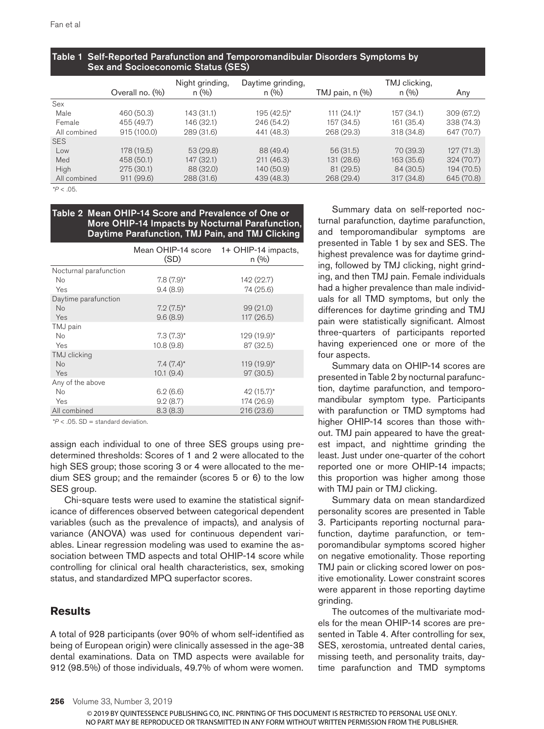## Table 1 Self-Reported Parafunction and Temporomandibular Disorders Symptoms by Sex and Socioeconomic Status (SES)

|              | Overall no. (%) | Night grinding,<br>n(%) | Daytime grinding,<br>n (%) | TMJ pain, n (%) | TMJ clicking,<br>n(%) | Any        |
|--------------|-----------------|-------------------------|----------------------------|-----------------|-----------------------|------------|
| Sex          |                 |                         |                            |                 |                       |            |
| Male         | 460 (50.3)      | 143 (31.1)              | 195 (42.5)*                | $111 (24.1)^*$  | 157 (34.1)            | 309 (67.2) |
| Female       | 455 (49.7)      | 146 (32.1)              | 246 (54.2)                 | 157 (34.5)      | 161 (35.4)            | 338 (74.3) |
| All combined | 915 (100.0)     | 289 (31.6)              | 441 (48.3)                 | 268 (29.3)      | 318 (34.8)            | 647 (70.7) |
| <b>SES</b>   |                 |                         |                            |                 |                       |            |
| Low          | 178 (19.5)      | 53 (29.8)               | 88 (49.4)                  | 56(31.5)        | 70(39.3)              | 127(71.3)  |
| Med          | 458 (50.1)      | 147 (32.1)              | 211(46.3)                  | 131 (28.6)      | 163 (35.6)            | 324 (70.7) |
| High         | 275(30.1)       | 88 (32.0)               | 140 (50.9)                 | 81 (29.5)       | 84 (30.5)             | 194 (70.5) |
| All combined | 911 (99.6)      | 288 (31.6)              | 439 (48.3)                 | 268 (29.4)      | 317 (34.8)            | 645 (70.8) |
|              |                 |                         |                            |                 |                       |            |

*\*P* < .05.

### Table 2 Mean OHIP-14 Score and Prevalence of One or More OHIP-14 Impacts by Nocturnal Parafunction, Daytime Parafunction, TMJ Pain, and TMJ Clicking

|                        | Mean OHIP-14 score<br>(SD) | 1+ OHIP-14 impacts,<br>n(%) |
|------------------------|----------------------------|-----------------------------|
| Nocturnal parafunction |                            |                             |
| No                     | $7.8(7.9)$ *               | 142 (22.7)                  |
| Yes                    | 9.4(8.9)                   | 74 (25.6)                   |
| Daytime parafunction   |                            |                             |
| <b>No</b>              | $7.2(7.5)$ *               | 99(21.0)                    |
| Yes                    | 9.6(8.9)                   | 117 (26.5)                  |
| TMJ pain               |                            |                             |
| No.                    | $7.3(7.3)$ *               | 129 (19.9)*                 |
| Yes                    | 10.8(9.8)                  | 87 (32.5)                   |
| TMJ clicking           |                            |                             |
| <b>No</b>              | $7.4 (7.4)^*$              | 119 (19.9)*                 |
| Yes                    | 10.1(9.4)                  | 97(30.5)                    |
| Any of the above       |                            |                             |
| No                     | 6.2(6.6)                   | $42(15.7)^{*}$              |
| Yes                    | 9.2(8.7)                   | 174 (26.9)                  |
| All combined           | 8.3(8.3)                   | 216(23.6)                   |

*\*P* < .05. SD = standard deviation.

assign each individual to one of three SES groups using predetermined thresholds: Scores of 1 and 2 were allocated to the high SES group; those scoring 3 or 4 were allocated to the medium SES group; and the remainder (scores 5 or 6) to the low SES group.

Chi-square tests were used to examine the statistical significance of differences observed between categorical dependent variables (such as the prevalence of impacts), and analysis of variance (ANOVA) was used for continuous dependent variables. Linear regression modeling was used to examine the association between TMD aspects and total OHIP-14 score while controlling for clinical oral health characteristics, sex, smoking status, and standardized MPQ superfactor scores.

## **Results**

A total of 928 participants (over 90% of whom self-identified as being of European origin) were clinically assessed in the age-38 dental examinations. Data on TMD aspects were available for 912 (98.5%) of those individuals, 49.7% of whom were women.

Summary data on self-reported nocturnal parafunction, daytime parafunction, and temporomandibular symptoms are presented in Table 1 by sex and SES. The highest prevalence was for daytime grinding, followed by TMJ clicking, night grinding, and then TMJ pain. Female individuals had a higher prevalence than male individuals for all TMD symptoms, but only the differences for daytime grinding and TMJ pain were statistically significant. Almost three-quarters of participants reported having experienced one or more of the four aspects.

Summary data on OHIP-14 scores are presented in Table 2 by nocturnal parafunction, daytime parafunction, and temporomandibular symptom type. Participants with parafunction or TMD symptoms had higher OHIP-14 scores than those without. TMJ pain appeared to have the greatest impact, and nighttime grinding the least. Just under one-quarter of the cohort reported one or more OHIP-14 impacts; this proportion was higher among those with TMJ pain or TMJ clicking.

Summary data on mean standardized personality scores are presented in Table 3. Participants reporting nocturnal parafunction, daytime parafunction, or temporomandibular symptoms scored higher on negative emotionality. Those reporting TMJ pain or clicking scored lower on positive emotionality. Lower constraint scores were apparent in those reporting daytime grinding.

The outcomes of the multivariate models for the mean OHIP-14 scores are presented in Table 4. After controlling for sex, SES, xerostomia, untreated dental caries, missing teeth, and personality traits, daytime parafunction and TMD symptoms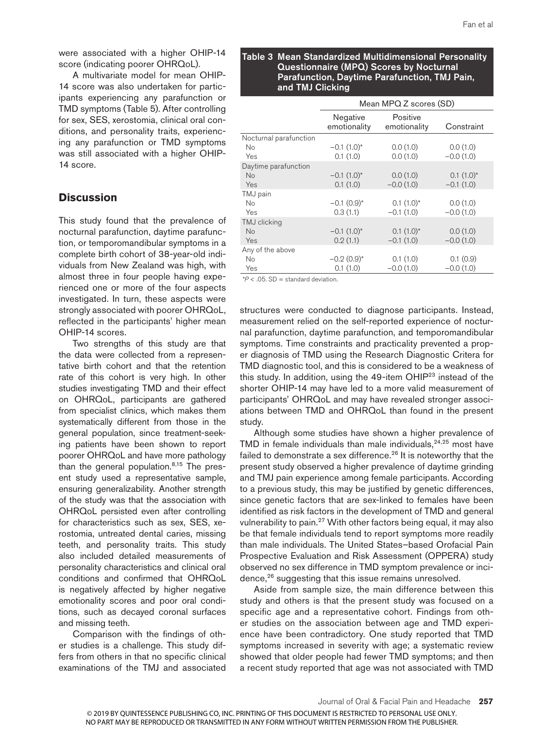were associated with a higher OHIP-14 score (indicating poorer OHRQoL).

A multivariate model for mean OHIP-14 score was also undertaken for participants experiencing any parafunction or TMD symptoms (Table 5). After controlling for sex, SES, xerostomia, clinical oral conditions, and personality traits, experiencing any parafunction or TMD symptoms was still associated with a higher OHIP-14 score.

## **Discussion**

This study found that the prevalence of nocturnal parafunction, daytime parafunction, or temporomandibular symptoms in a complete birth cohort of 38-year-old individuals from New Zealand was high, with almost three in four people having experienced one or more of the four aspects investigated. In turn, these aspects were strongly associated with poorer OHRQoL, reflected in the participants' higher mean OHIP-14 scores.

Two strengths of this study are that the data were collected from a representative birth cohort and that the retention rate of this cohort is very high. In other studies investigating TMD and their effect on OHRQoL, participants are gathered from specialist clinics, which makes them systematically different from those in the general population, since treatment-seeking patients have been shown to report poorer OHRQoL and have more pathology than the general population.<sup>8,15</sup> The present study used a representative sample, ensuring generalizability. Another strength of the study was that the association with OHRQoL persisted even after controlling for characteristics such as sex, SES, xerostomia, untreated dental caries, missing teeth, and personality traits. This study also included detailed measurements of personality characteristics and clinical oral conditions and confirmed that OHRQoL is negatively affected by higher negative emotionality scores and poor oral conditions, such as decayed coronal surfaces and missing teeth.

Comparison with the findings of other studies is a challenge. This study differs from others in that no specific clinical examinations of the TMJ and associated

### Table 3 Mean Standardized Multidimensional Personality Questionnaire (MPQ) Scores by Nocturnal Parafunction, Daytime Parafunction, TMJ Pain, and TMJ Clicking

|                        | Mean MPQ Z scores (SD)    |                          |               |
|------------------------|---------------------------|--------------------------|---------------|
|                        | Negative<br>emotionality  | Positive<br>emotionality | Constraint    |
| Nocturnal parafunction |                           |                          |               |
| No                     | $-0.1(1.0)^{*}$           | 0.0(1.0)                 | 0.0(1.0)      |
| Yes                    | 0.1(1.0)                  | 0.0(1.0)                 | $-0.0(1.0)$   |
| Daytime parafunction   |                           |                          |               |
| No                     | $-0.1$ (1.0) <sup>*</sup> | 0.0(1.0)                 | $0.1 (1.0)^*$ |
| Yes                    | 0.1(1.0)                  | $-0.0(1.0)$              | $-0.1(1.0)$   |
| TMJ pain               |                           |                          |               |
| No                     | $-0.1(0.9)$ *             | $0.1(1.0)^*$             | 0.0(1.0)      |
| Yes                    | 0.3(1.1)                  | $-0.1(1.0)$              | $-0.0(1.0)$   |
| TMJ clicking           |                           |                          |               |
| No                     | $-0.1$ (1.0)*             | $0.1$ $(1.0)^*$          | 0.0(1.0)      |
| Yes                    | 0.2(1.1)                  | $-0.1(1.0)$              | $-0.0(1.0)$   |
| Any of the above       |                           |                          |               |
| No.                    | $-0.2(0.9)$ *             | 0.1(1.0)                 | 0.1(0.9)      |
| Yes                    | 0.1(1.0)                  | $-0.0(1.0)$              | $-0.0(1.0)$   |

*\*P* < .05. SD = standard deviation.

structures were conducted to diagnose participants. Instead, measurement relied on the self-reported experience of nocturnal parafunction, daytime parafunction, and temporomandibular symptoms. Time constraints and practicality prevented a proper diagnosis of TMD using the Research Diagnostic Critera for TMD diagnostic tool, and this is considered to be a weakness of this study. In addition, using the 49-item OHIP<sup>23</sup> instead of the shorter OHIP-14 may have led to a more valid measurement of participants' OHRQoL and may have revealed stronger associations between TMD and OHRQoL than found in the present study.

Although some studies have shown a higher prevalence of TMD in female individuals than male individuals, $24,25$  most have failed to demonstrate a sex difference.<sup>26</sup> It is noteworthy that the present study observed a higher prevalence of daytime grinding and TMJ pain experience among female participants. According to a previous study, this may be justified by genetic differences, since genetic factors that are sex-linked to females have been identified as risk factors in the development of TMD and general vulnerability to pain.<sup>27</sup> With other factors being equal, it may also be that female individuals tend to report symptoms more readily than male individuals. The United States–based Orofacial Pain Prospective Evaluation and Risk Assessment (OPPERA) study observed no sex difference in TMD symptom prevalence or incidence,26 suggesting that this issue remains unresolved.

Aside from sample size, the main difference between this study and others is that the present study was focused on a specific age and a representative cohort. Findings from other studies on the association between age and TMD experience have been contradictory. One study reported that TMD symptoms increased in severity with age; a systematic review showed that older people had fewer TMD symptoms; and then a recent study reported that age was not associated with TMD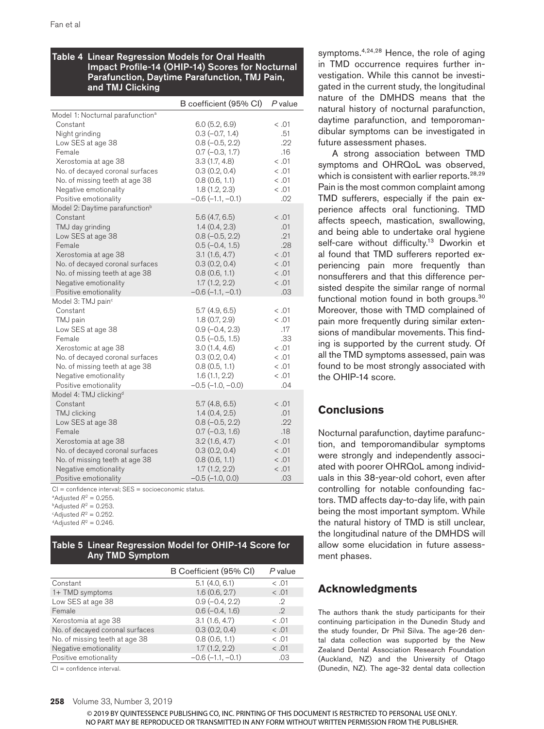### Table 4 Linear Regression Models for Oral Health Impact Profile-14 (OHIP-14) Scores for Nocturnal Parafunction, Daytime Parafunction, TMJ Pain, and TMJ Clicking

|                                              | B coefficient (95% CI) | $P$ value |
|----------------------------------------------|------------------------|-----------|
| Model 1: Nocturnal parafunction <sup>a</sup> |                        |           |
| Constant                                     | 6.0(5.2, 6.9)          | < 0.01    |
| Night grinding                               | $0.3(-0.7, 1.4)$       | .51       |
| Low SES at age 38                            | $0.8(-0.5, 2.2)$       | .22       |
| Female                                       | $0.7(-0.3, 1.7)$       | .16       |
| Xerostomia at age 38                         | 3.3(1.7, 4.8)          | < 0.01    |
| No. of decayed coronal surfaces              | 0.3(0.2, 0.4)          | < .01     |
| No. of missing teeth at age 38               | 0.8(0.6, 1.1)          | < .01     |
| Negative emotionality                        | 1.8(1.2, 2.3)          | < .01     |
| Positive emotionality                        | $-0.6(-1.1, -0.1)$     | .02       |
| Model 2: Daytime parafunction <sup>b</sup>   |                        |           |
| Constant                                     | 5.6(4.7, 6.5)          | < 0.01    |
| TMJ day grinding                             | 1.4(0.4, 2.3)          | .01       |
| Low SES at age 38                            | $0.8(-0.5, 2.2)$       | .21       |
| Female                                       | $0.5(-0.4, 1.5)$       | .28       |
| Xerostomia at age 38                         | 3.1(1.6, 4.7)          | < .01     |
| No. of decayed coronal surfaces              | 0.3(0.2, 0.4)          | < .01     |
| No. of missing teeth at age 38               | 0.8(0.6, 1.1)          | < .01     |
| Negative emotionality                        | 1.7(1.2, 2.2)          | < .01     |
| Positive emotionality                        | $-0.6(-1.1, -0.1)$     | .03       |
| Model 3: TMJ pain <sup>c</sup>               |                        |           |
| Constant                                     | 5.7(4.9, 6.5)          | < .01     |
| TMJ pain                                     | 1.8(0.7, 2.9)          | < .01     |
| Low SES at age 38                            | $0.9(-0.4, 2.3)$       | .17       |
| Female                                       | $0.5(-0.5, 1.5)$       | .33       |
| Xerostomic at age 38                         | 3.0(1.4, 4.6)          | < .01     |
| No. of decayed coronal surfaces              | 0.3(0.2, 0.4)          | < .01     |
| No. of missing teeth at age 38               | 0.8(0.5, 1.1)          | < .01     |
| Negative emotionality                        | 1.6(1.1, 2.2)          | < .01     |
| Positive emotionality                        | $-0.5(-1.0,-0.0)$      | .04       |
| Model 4: TMJ clicking <sup>d</sup>           |                        |           |
| Constant                                     | 5.7(4.8, 6.5)          | < .01     |
| TMJ clicking                                 | 1.4(0.4, 2.5)          | .01       |
| Low SES at age 38                            | $0.8(-0.5, 2.2)$       | .22       |
| Female                                       | $0.7$ ( $-0.3$ , 1.6)  | .18       |
| Xerostomia at age 38                         | 3.2(1.6, 4.7)          | < .01     |
| No. of decayed coronal surfaces              | 0.3(0.2, 0.4)          | < .01     |
| No. of missing teeth at age 38               | 0.8(0.6, 1.1)          | < .01     |
| Negative emotionality                        | 1.7(1.2, 2.2)          | < .01     |
| Positive emotionality                        | $-0.5$ $(-1.0, 0.0)$   | .03       |

CI = confidence interval; SES = socioeconomic status.

<sup>a</sup>Adjusted  $R^2$  = 0.255.  $\frac{b}{c}$ Adjusted  $R^2$  = 0.253.

 $c$ Adjusted  $R^2$  = 0.252.

## Table 5 Linear Regression Model for OHIP-14 Score for Any TMD Symptom

|                                 | B Coefficient (95% CI) | $P$ value |
|---------------------------------|------------------------|-----------|
| Constant                        | $5.1$ (4.0, 6.1)       | < .01     |
| 1+ TMD symptoms                 | 1.6(0.6, 2.7)          | < .01     |
| Low SES at age 38               | $0.9(-0.4, 2.2)$       | .2        |
| Female                          | $0.6(-0.4, 1.6)$       | .2        |
| Xerostomia at age 38            | 3.1(1.6, 4.7)          | < .01     |
| No. of decayed coronal surfaces | 0.3(0.2, 0.4)          | < .01     |
| No. of missing teeth at age 38  | 0.8(0.6, 1.1)          | < .01     |
| Negative emotionality           | 1.7(1.2, 2.2)          | < .01     |
| Positive emotionality           | $-0.6(-1.1, -0.1)$     | .03       |

CI = confidence interval.

symptoms.<sup>4,24,28</sup> Hence, the role of aging in TMD occurrence requires further investigation. While this cannot be investigated in the current study, the longitudinal nature of the DMHDS means that the natural history of nocturnal parafunction, daytime parafunction, and temporomandibular symptoms can be investigated in future assessment phases.

A strong association between TMD symptoms and OHRQoL was observed, which is consistent with earlier reports.<sup>28,29</sup> Pain is the most common complaint among TMD sufferers, especially if the pain experience affects oral functioning. TMD affects speech, mastication, swallowing, and being able to undertake oral hygiene self-care without difficulty.<sup>13</sup> Dworkin et al found that TMD sufferers reported experiencing pain more frequently than nonsufferers and that this difference persisted despite the similar range of normal functional motion found in both groups.30 Moreover, those with TMD complained of pain more frequently during similar extensions of mandibular movements. This finding is supported by the current study. Of all the TMD symptoms assessed, pain was found to be most strongly associated with the OHIP-14 score.

## **Conclusions**

Nocturnal parafunction, daytime parafunction, and temporomandibular symptoms were strongly and independently associated with poorer OHRQoL among individuals in this 38-year-old cohort, even after controlling for notable confounding factors. TMD affects day-to-day life, with pain being the most important symptom. While the natural history of TMD is still unclear, the longitudinal nature of the DMHDS will allow some elucidation in future assessment phases.

## **Acknowledgments**

The authors thank the study participants for their continuing participation in the Dunedin Study and the study founder, Dr Phil Silva. The age-26 dental data collection was supported by the New Zealand Dental Association Research Foundation (Auckland, NZ) and the University of Otago (Dunedin, NZ). The age-32 dental data collection

<sup>&</sup>lt;sup>d</sup>Adjusted  $R^2$  = 0.246.